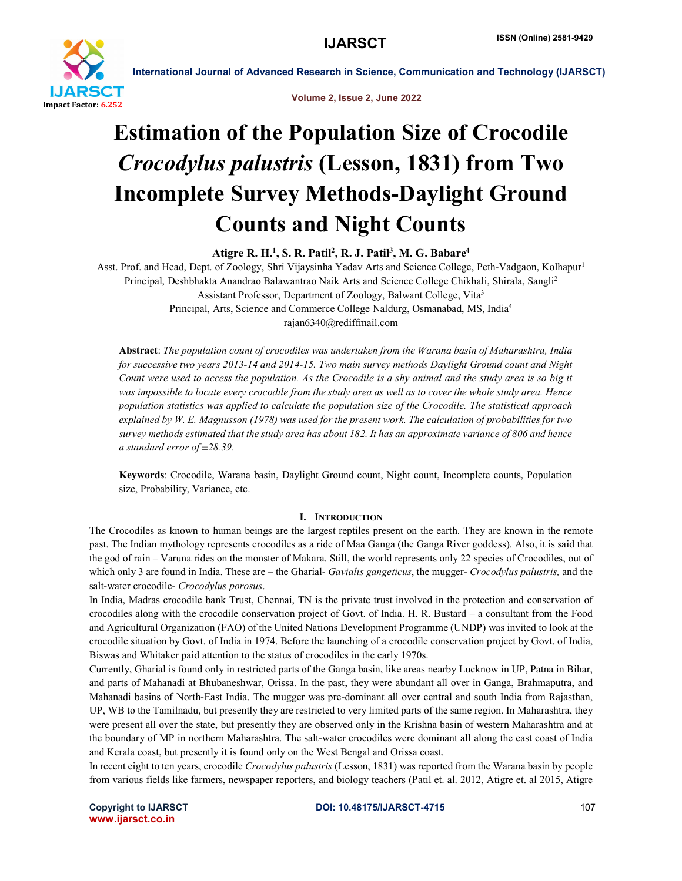

Volume 2, Issue 2, June 2022

# Estimation of the Population Size of Crocodile *Crocodylus palustris* (Lesson, 1831) from Two Incomplete Survey Methods-Daylight Ground Counts and Night Counts

Atigre R. H.<sup>1</sup>, S. R. Patil<sup>2</sup>, R. J. Patil<sup>3</sup>, M. G. Babare<sup>4</sup>

Asst. Prof. and Head, Dept. of Zoology, Shri Vijaysinha Yadav Arts and Science College, Peth-Vadgaon, Kolhapur<sup>1</sup> Principal, Deshbhakta Anandrao Balawantrao Naik Arts and Science College Chikhali, Shirala, Sangli<sup>2</sup> Assistant Professor, Department of Zoology, Balwant College, Vita3 Principal, Arts, Science and Commerce College Naldurg, Osmanabad, MS, India4 rajan6340@rediffmail.com

Abstract: *The population count of crocodiles was undertaken from the Warana basin of Maharashtra, India for successive two years 2013-14 and 2014-15. Two main survey methods Daylight Ground count and Night Count were used to access the population. As the Crocodile is a shy animal and the study area is so big it was impossible to locate every crocodile from the study area as well as to cover the whole study area. Hence population statistics was applied to calculate the population size of the Crocodile. The statistical approach explained by W. E. Magnusson (1978) was used for the present work. The calculation of probabilities for two survey methods estimated that the study area has about 182. It has an approximate variance of 806 and hence a standard error of ±28.39.* 

Keywords: Crocodile, Warana basin, Daylight Ground count, Night count, Incomplete counts, Population size, Probability, Variance, etc.

# I. INTRODUCTION

The Crocodiles as known to human beings are the largest reptiles present on the earth. They are known in the remote past. The Indian mythology represents crocodiles as a ride of Maa Ganga (the Ganga River goddess). Also, it is said that the god of rain – Varuna rides on the monster of Makara. Still, the world represents only 22 species of Crocodiles, out of which only 3 are found in India. These are – the Gharial- *Gavialis gangeticus*, the mugger- *Crocodylus palustris,* and the salt-water crocodile- *Crocodylus porosus*.

In India, Madras crocodile bank Trust, Chennai, TN is the private trust involved in the protection and conservation of crocodiles along with the crocodile conservation project of Govt. of India. H. R. Bustard – a consultant from the Food and Agricultural Organization (FAO) of the United Nations Development Programme (UNDP) was invited to look at the crocodile situation by Govt. of India in 1974. Before the launching of a crocodile conservation project by Govt. of India, Biswas and Whitaker paid attention to the status of crocodiles in the early 1970s.

Currently, Gharial is found only in restricted parts of the Ganga basin, like areas nearby Lucknow in UP, Patna in Bihar, and parts of Mahanadi at Bhubaneshwar, Orissa. In the past, they were abundant all over in Ganga, Brahmaputra, and Mahanadi basins of North-East India. The mugger was pre-dominant all over central and south India from Rajasthan, UP, WB to the Tamilnadu, but presently they are restricted to very limited parts of the same region. In Maharashtra, they were present all over the state, but presently they are observed only in the Krishna basin of western Maharashtra and at the boundary of MP in northern Maharashtra. The salt-water crocodiles were dominant all along the east coast of India and Kerala coast, but presently it is found only on the West Bengal and Orissa coast.

In recent eight to ten years, crocodile *Crocodylus palustris* (Lesson, 1831) was reported from the Warana basin by people from various fields like farmers, newspaper reporters, and biology teachers (Patil et. al. 2012, Atigre et. al 2015, Atigre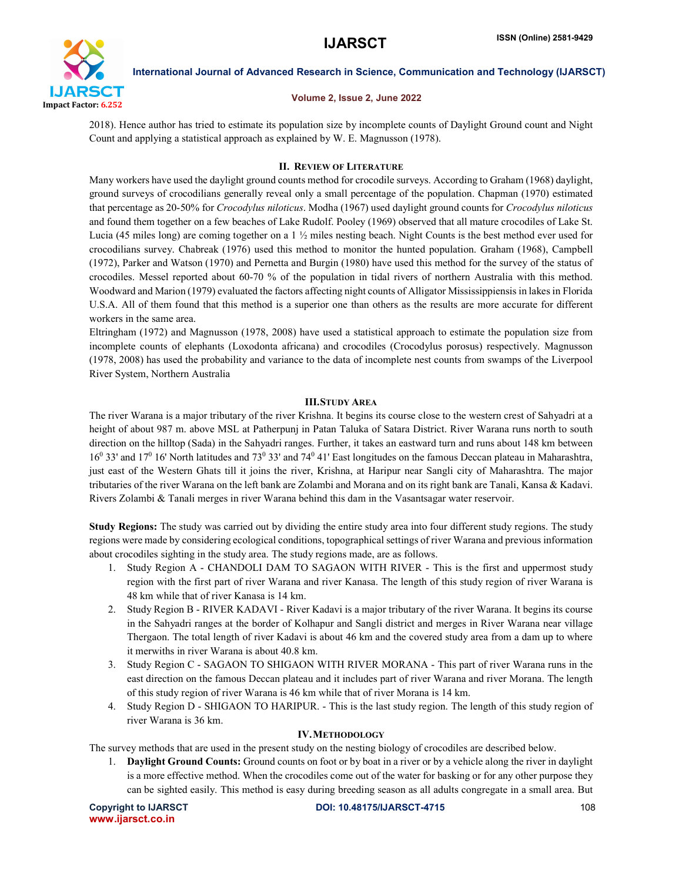

#### Volume 2, Issue 2, June 2022

2018). Hence author has tried to estimate its population size by incomplete counts of Daylight Ground count and Night Count and applying a statistical approach as explained by W. E. Magnusson (1978).

### II. REVIEW OF LITERATURE

Many workers have used the daylight ground counts method for crocodile surveys. According to Graham (1968) daylight, ground surveys of crocodilians generally reveal only a small percentage of the population. Chapman (1970) estimated that percentage as 20-50% for *Crocodylus niloticus*. Modha (1967) used daylight ground counts for *Crocodylus niloticus* and found them together on a few beaches of Lake Rudolf. Pooley (1969) observed that all mature crocodiles of Lake St. Lucia (45 miles long) are coming together on a 1 ½ miles nesting beach. Night Counts is the best method ever used for crocodilians survey. Chabreak (1976) used this method to monitor the hunted population. Graham (1968), Campbell (1972), Parker and Watson (1970) and Pernetta and Burgin (1980) have used this method for the survey of the status of crocodiles. Messel reported about 60-70 % of the population in tidal rivers of northern Australia with this method. Woodward and Marion (1979) evaluated the factors affecting night counts of Alligator Mississippiensis in lakes in Florida U.S.A. All of them found that this method is a superior one than others as the results are more accurate for different workers in the same area.

Eltringham (1972) and Magnusson (1978, 2008) have used a statistical approach to estimate the population size from incomplete counts of elephants (Loxodonta africana) and crocodiles (Crocodylus porosus) respectively. Magnusson (1978, 2008) has used the probability and variance to the data of incomplete nest counts from swamps of the Liverpool River System, Northern Australia

### III.STUDY AREA

The river Warana is a major tributary of the river Krishna. It begins its course close to the western crest of Sahyadri at a height of about 987 m. above MSL at Patherpunj in Patan Taluka of Satara District. River Warana runs north to south direction on the hilltop (Sada) in the Sahyadri ranges. Further, it takes an eastward turn and runs about 148 km between  $16<sup>0</sup>$  33' and  $17<sup>0</sup>$  16' North latitudes and  $73<sup>0</sup>$  33' and  $74<sup>0</sup>$  41' East longitudes on the famous Deccan plateau in Maharashtra, just east of the Western Ghats till it joins the river, Krishna, at Haripur near Sangli city of Maharashtra. The major tributaries of the river Warana on the left bank are Zolambi and Morana and on its right bank are Tanali, Kansa & Kadavi. Rivers Zolambi & Tanali merges in river Warana behind this dam in the Vasantsagar water reservoir.

Study Regions: The study was carried out by dividing the entire study area into four different study regions. The study regions were made by considering ecological conditions, topographical settings of river Warana and previous information about crocodiles sighting in the study area. The study regions made, are as follows.

- 1. Study Region A CHANDOLI DAM TO SAGAON WITH RIVER This is the first and uppermost study region with the first part of river Warana and river Kanasa. The length of this study region of river Warana is 48 km while that of river Kanasa is 14 km.
- 2. Study Region B RIVER KADAVI River Kadavi is a major tributary of the river Warana. It begins its course in the Sahyadri ranges at the border of Kolhapur and Sangli district and merges in River Warana near village Thergaon. The total length of river Kadavi is about 46 km and the covered study area from a dam up to where it merwiths in river Warana is about 40.8 km.
- 3. Study Region C SAGAON TO SHIGAON WITH RIVER MORANA This part of river Warana runs in the east direction on the famous Deccan plateau and it includes part of river Warana and river Morana. The length of this study region of river Warana is 46 km while that of river Morana is 14 km.
- 4. Study Region D SHIGAON TO HARIPUR. This is the last study region. The length of this study region of river Warana is 36 km.

### IV.METHODOLOGY

The survey methods that are used in the present study on the nesting biology of crocodiles are described below.

1. Daylight Ground Counts: Ground counts on foot or by boat in a river or by a vehicle along the river in daylight is a more effective method. When the crocodiles come out of the water for basking or for any other purpose they can be sighted easily. This method is easy during breeding season as all adults congregate in a small area. But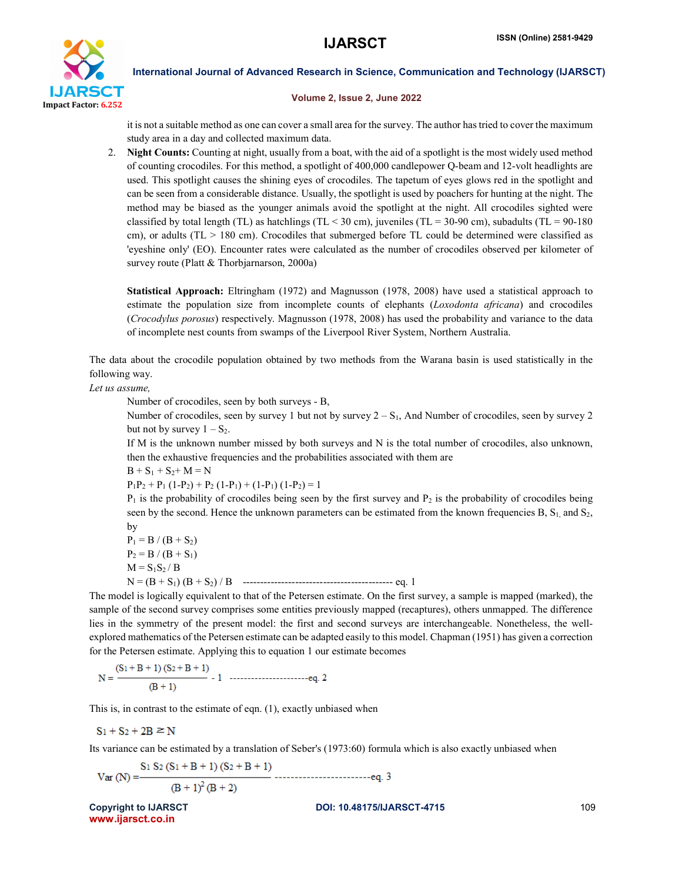

#### Volume 2, Issue 2, June 2022

it is not a suitable method as one can cover a small area for the survey. The author has tried to cover the maximum study area in a day and collected maximum data.

2. Night Counts: Counting at night, usually from a boat, with the aid of a spotlight is the most widely used method of counting crocodiles. For this method, a spotlight of 400,000 candlepower Q-beam and 12-volt headlights are used. This spotlight causes the shining eyes of crocodiles. The tapetum of eyes glows red in the spotlight and can be seen from a considerable distance. Usually, the spotlight is used by poachers for hunting at the night. The method may be biased as the younger animals avoid the spotlight at the night. All crocodiles sighted were classified by total length (TL) as hatchlings (TL  $<$  30 cm), juveniles (TL = 30-90 cm), subadults (TL = 90-180 cm), or adults ( $TL > 180$  cm). Crocodiles that submerged before  $TL$  could be determined were classified as 'eyeshine only' (EO). Encounter rates were calculated as the number of crocodiles observed per kilometer of survey route (Platt & Thorbjarnarson, 2000a)

Statistical Approach: Eltringham (1972) and Magnusson (1978, 2008) have used a statistical approach to estimate the population size from incomplete counts of elephants (*Loxodonta africana*) and crocodiles (*Crocodylus porosus*) respectively. Magnusson (1978, 2008) has used the probability and variance to the data of incomplete nest counts from swamps of the Liverpool River System, Northern Australia.

The data about the crocodile population obtained by two methods from the Warana basin is used statistically in the following way.

*Let us assume,*

Number of crocodiles, seen by both surveys - B,

Number of crocodiles, seen by survey 1 but not by survey  $2 - S<sub>1</sub>$ , And Number of crocodiles, seen by survey 2 but not by survey  $1 - S_2$ .

If M is the unknown number missed by both surveys and N is the total number of crocodiles, also unknown, then the exhaustive frequencies and the probabilities associated with them are

 $B + S_1 + S_2 + M = N$ 

$$
P_1P_2 + P_1 (1-P_2) + P_2 (1-P_1) + (1-P_1) (1-P_2) = 1
$$

 $P_1$  is the probability of crocodiles being seen by the first survey and  $P_2$  is the probability of crocodiles being seen by the second. Hence the unknown parameters can be estimated from the known frequencies B,  $S<sub>1</sub>$ , and  $S<sub>2</sub>$ , by

 $P_1 = B / (B + S_2)$  $P_2 = B / (B + S_1)$  $M = S_1S_2/B$ N = (B + S1) (B + S2) / B ------------------------------------------- eq. 1

The model is logically equivalent to that of the Petersen estimate. On the first survey, a sample is mapped (marked), the sample of the second survey comprises some entities previously mapped (recaptures), others unmapped. The difference lies in the symmetry of the present model: the first and second surveys are interchangeable. Nonetheless, the wellexplored mathematics of the Petersen estimate can be adapted easily to this model. Chapman (1951) has given a correction for the Petersen estimate. Applying this to equation 1 our estimate becomes

This is, in contrast to the estimate of eqn. (1), exactly unbiased when

 $S_1 + S_2 + 2B \ge N$ 

Its variance can be estimated by a translation of Seber's (1973:60) formula which is also exactly unbiased when

$$
Var(N) = \frac{S_1 S_2 (S_1 + B + 1) (S_2 + B + 1)}{(B + 1)^2 (B + 2)}
$$

www.ijarsct.co.in

Copyright to IJARSCT **DOI: 10.48175/IJARSCT-4715** 109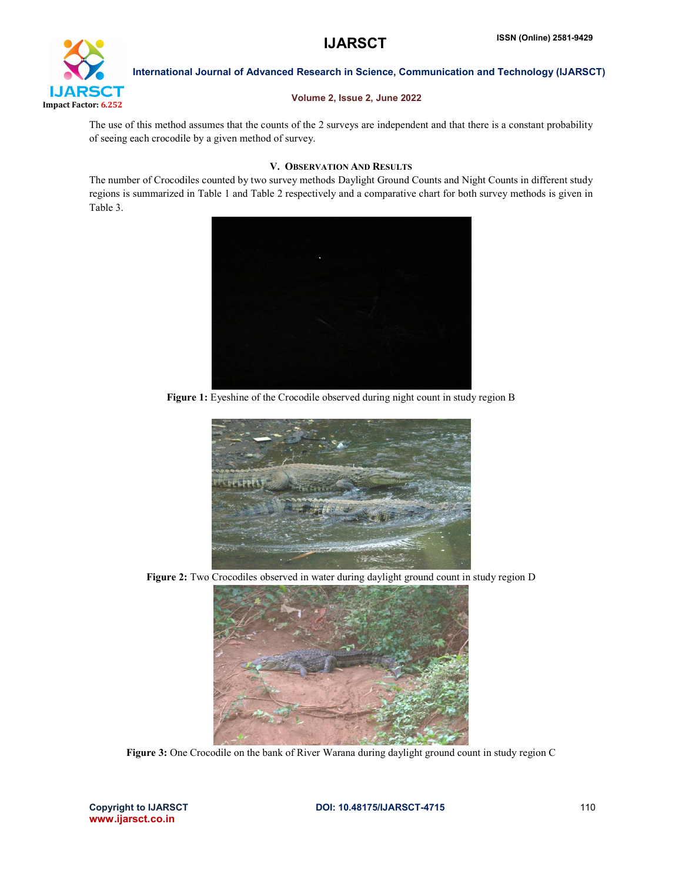

### Volume 2, Issue 2, June 2022

The use of this method assumes that the counts of the 2 surveys are independent and that there is a constant probability of seeing each crocodile by a given method of survey.

### V. OBSERVATION AND RESULTS

The number of Crocodiles counted by two survey methods Daylight Ground Counts and Night Counts in different study regions is summarized in Table 1 and Table 2 respectively and a comparative chart for both survey methods is given in Table 3.



Figure 1: Eyeshine of the Crocodile observed during night count in study region B



Figure 2: Two Crocodiles observed in water during daylight ground count in study region D



Figure 3: One Crocodile on the bank of River Warana during daylight ground count in study region C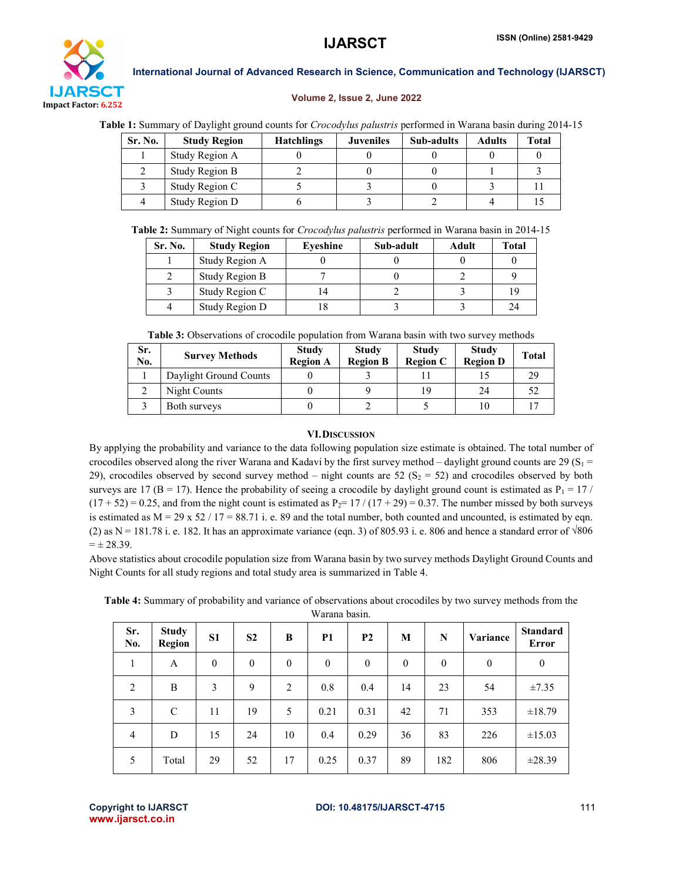

#### Volume 2, Issue 2, June 2022

| Sr. No. | <b>Study Region</b> | <b>Hatchlings</b> | <b>Juveniles</b> | <b>Sub-adults</b> | <b>Adults</b> | Total |
|---------|---------------------|-------------------|------------------|-------------------|---------------|-------|
|         | Study Region A      |                   |                  |                   |               |       |
|         | Study Region B      |                   |                  |                   |               |       |
|         | Study Region C      |                   |                  |                   |               |       |
|         | Study Region D      |                   |                  |                   |               |       |

Table 2: Summary of Night counts for *Crocodylus palustris* performed in Warana basin in 2014-15

| Sr. No. | <b>Study Region</b> | Eveshine | Sub-adult | Adult | Total |
|---------|---------------------|----------|-----------|-------|-------|
|         | Study Region A      |          |           |       |       |
|         | Study Region B      |          |           |       |       |
|         | Study Region C      | 4        |           |       | 19    |
|         | Study Region D      |          |           |       | 24    |

Table 3: Observations of crocodile population from Warana basin with two survey methods

| Sr.<br>No. | <b>Survey Methods</b>  | <b>Study</b><br><b>Region A</b> | <b>Study</b><br><b>Region B</b> | <b>Study</b><br><b>Region C</b> | <b>Study</b><br><b>Region D</b> | <b>Total</b> |
|------------|------------------------|---------------------------------|---------------------------------|---------------------------------|---------------------------------|--------------|
|            | Daylight Ground Counts |                                 |                                 |                                 |                                 | 29           |
|            | Night Counts           |                                 |                                 | 19                              | 24                              |              |
|            | Both surveys           |                                 |                                 |                                 |                                 |              |

# VI.DISCUSSION

By applying the probability and variance to the data following population size estimate is obtained. The total number of crocodiles observed along the river Warana and Kadavi by the first survey method – daylight ground counts are 29 (S<sub>1</sub> = 29), crocodiles observed by second survey method – night counts are 52 ( $S_2 = 52$ ) and crocodiles observed by both surveys are 17 ( $B = 17$ ). Hence the probability of seeing a crocodile by daylight ground count is estimated as  $P_1 = 17$  /  $(17 + 52) = 0.25$ , and from the night count is estimated as P<sub>2</sub>= 17 /  $(17 + 29) = 0.37$ . The number missed by both surveys is estimated as  $M = 29 \times 52 / 17 = 88.71$  i. e. 89 and the total number, both counted and uncounted, is estimated by eqn. (2) as N = 181.78 i. e. 182. It has an approximate variance (eqn. 3) of 805.93 i. e. 806 and hence a standard error of  $\sqrt{806}$  $= \pm 28.39.$ 

Above statistics about crocodile population size from Warana basin by two survey methods Daylight Ground Counts and Night Counts for all study regions and total study area is summarized in Table 4.

Table 4: Summary of probability and variance of observations about crocodiles by two survey methods from the

| Warana basin. |  |
|---------------|--|
|               |  |

| Sr.<br>No.     | <b>Study</b><br><b>Region</b> | <b>S1</b> | S <sub>2</sub> | B              | <b>P1</b> | <b>P2</b> | M                | N        | Variance | <b>Standard</b><br>Error |
|----------------|-------------------------------|-----------|----------------|----------------|-----------|-----------|------------------|----------|----------|--------------------------|
| 1              | A                             | $\theta$  | $\theta$       | $\theta$       | $\theta$  | $\theta$  | $\boldsymbol{0}$ | $\theta$ | $\theta$ | $\mathbf{0}$             |
| $\overline{2}$ | B                             | 3         | 9              | $\overline{2}$ | 0.8       | 0.4       | 14               | 23       | 54       | $\pm 7.35$               |
| 3              | C                             | 11        | 19             | 5              | 0.21      | 0.31      | 42               | 71       | 353      | ±18.79                   |
| 4              | D                             | 15        | 24             | 10             | 0.4       | 0.29      | 36               | 83       | 226      | ±15.03                   |
| 5              | Total                         | 29        | 52             | 17             | 0.25      | 0.37      | 89               | 182      | 806      | ±28.39                   |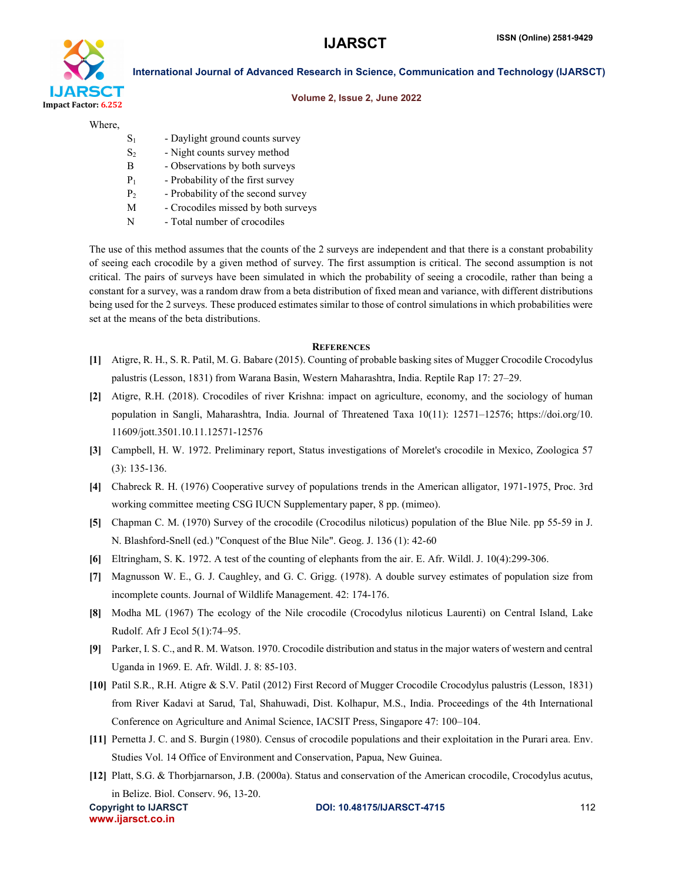

#### Volume 2, Issue 2, June 2022

Where,

- $S<sub>1</sub>$  Daylight ground counts survey
- S<sub>2</sub> Night counts survey method
- B Observations by both surveys
- $P_1$  Probability of the first survey
- $P_2$  Probability of the second survey
- M Crocodiles missed by both surveys
- N Total number of crocodiles

The use of this method assumes that the counts of the 2 surveys are independent and that there is a constant probability of seeing each crocodile by a given method of survey. The first assumption is critical. The second assumption is not critical. The pairs of surveys have been simulated in which the probability of seeing a crocodile, rather than being a constant for a survey, was a random draw from a beta distribution of fixed mean and variance, with different distributions being used for the 2 surveys. These produced estimates similar to those of control simulations in which probabilities were set at the means of the beta distributions.

#### **REFERENCES**

- [1] Atigre, R. H., S. R. Patil, M. G. Babare (2015). Counting of probable basking sites of Mugger Crocodile Crocodylus palustris (Lesson, 1831) from Warana Basin, Western Maharashtra, India. Reptile Rap 17: 27–29.
- [2] Atigre, R.H. (2018). Crocodiles of river Krishna: impact on agriculture, economy, and the sociology of human population in Sangli, Maharashtra, India. Journal of Threatened Taxa 10(11): 12571–12576; https://doi.org/10. 11609/jott.3501.10.11.12571-12576
- [3] Campbell, H. W. 1972. Preliminary report, Status investigations of Morelet's crocodile in Mexico, Zoologica 57 (3): 135-136.
- [4] Chabreck R. H. (1976) Cooperative survey of populations trends in the American alligator, 1971-1975, Proc. 3rd working committee meeting CSG IUCN Supplementary paper, 8 pp. (mimeo).
- [5] Chapman C. M. (1970) Survey of the crocodile (Crocodilus niloticus) population of the Blue Nile. pp 55-59 in J. N. Blashford-Snell (ed.) "Conquest of the Blue Nile". Geog. J. 136 (1): 42-60
- [6] Eltringham, S. K. 1972. A test of the counting of elephants from the air. E. Afr. Wildl. J. 10(4):299-306.
- [7] Magnusson W. E., G. J. Caughley, and G. C. Grigg. (1978). A double survey estimates of population size from incomplete counts. Journal of Wildlife Management. 42: 174-176.
- [8] Modha ML (1967) The ecology of the Nile crocodile (Crocodylus niloticus Laurenti) on Central Island, Lake Rudolf. Afr J Ecol 5(1):74–95.
- [9] Parker, I. S. C., and R. M. Watson. 1970. Crocodile distribution and status in the major waters of western and central Uganda in 1969. E. Afr. Wildl. J. 8: 85-103.
- [10] Patil S.R., R.H. Atigre & S.V. Patil (2012) First Record of Mugger Crocodile Crocodylus palustris (Lesson, 1831) from River Kadavi at Sarud, Tal, Shahuwadi, Dist. Kolhapur, M.S., India. Proceedings of the 4th International Conference on Agriculture and Animal Science, IACSIT Press, Singapore 47: 100–104.
- [11] Pernetta J. C. and S. Burgin (1980). Census of crocodile populations and their exploitation in the Purari area. Env. Studies Vol. 14 Office of Environment and Conservation, Papua, New Guinea.
- [12] Platt, S.G. & Thorbjarnarson, J.B. (2000a). Status and conservation of the American crocodile, Crocodylus acutus, in Belize. Biol. Conserv. 96, 13-20.